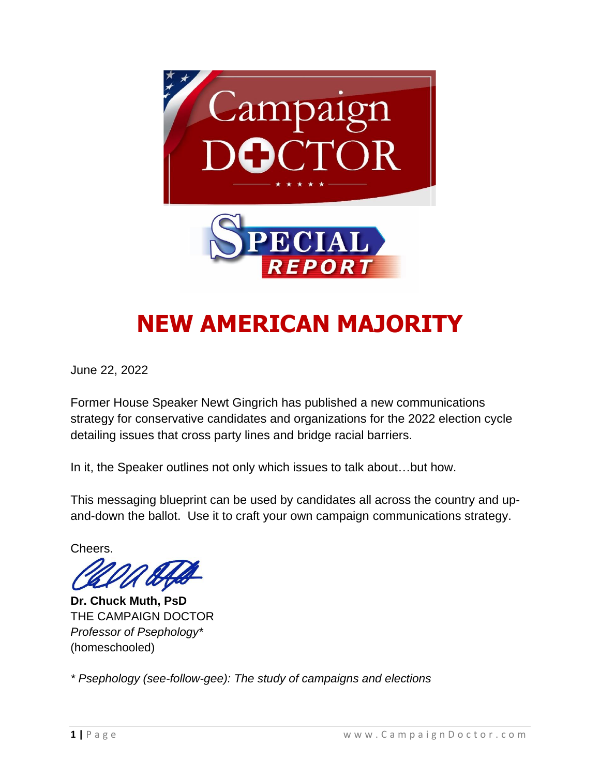

# **NEW AMERICAN MAJORITY**

June 22, 2022

Former House Speaker Newt Gingrich has published a new communications strategy for conservative candidates and organizations for the 2022 election cycle detailing issues that cross party lines and bridge racial barriers.

In it, the Speaker outlines not only which issues to talk about…but how.

This messaging blueprint can be used by candidates all across the country and upand-down the ballot. Use it to craft your own campaign communications strategy.

Cheers.

**Dr. Chuck Muth, PsD** THE CAMPAIGN DOCTOR *Professor of Psephology\** (homeschooled)

*\* Psephology (see-follow-gee): The study of campaigns and elections*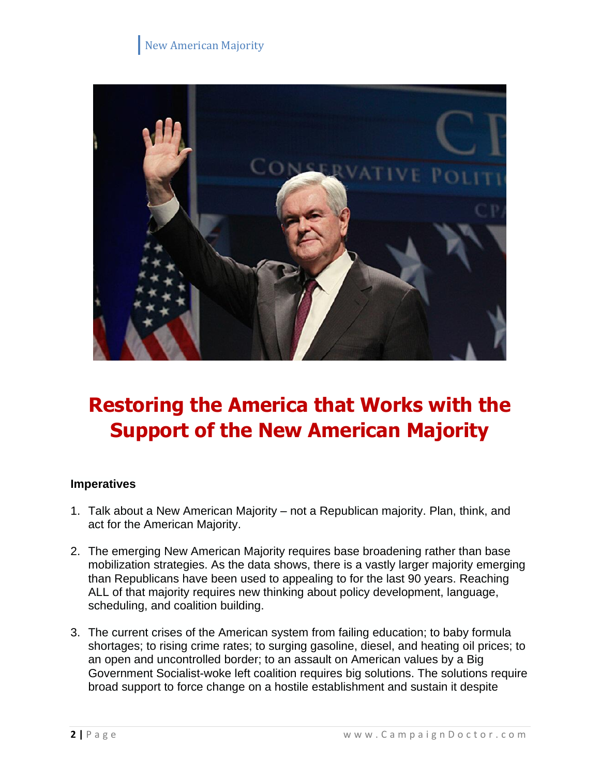

# **Restoring the America that Works with the Support of the New American Majority**

#### **Imperatives**

- 1. Talk about a New American Majority not a Republican majority. Plan, think, and act for the American Majority.
- 2. The emerging New American Majority requires base broadening rather than base mobilization strategies. As the data shows, there is a vastly larger majority emerging than Republicans have been used to appealing to for the last 90 years. Reaching ALL of that majority requires new thinking about policy development, language, scheduling, and coalition building.
- 3. The current crises of the American system from failing education; to baby formula shortages; to rising crime rates; to surging gasoline, diesel, and heating oil prices; to an open and uncontrolled border; to an assault on American values by a Big Government Socialist-woke left coalition requires big solutions. The solutions require broad support to force change on a hostile establishment and sustain it despite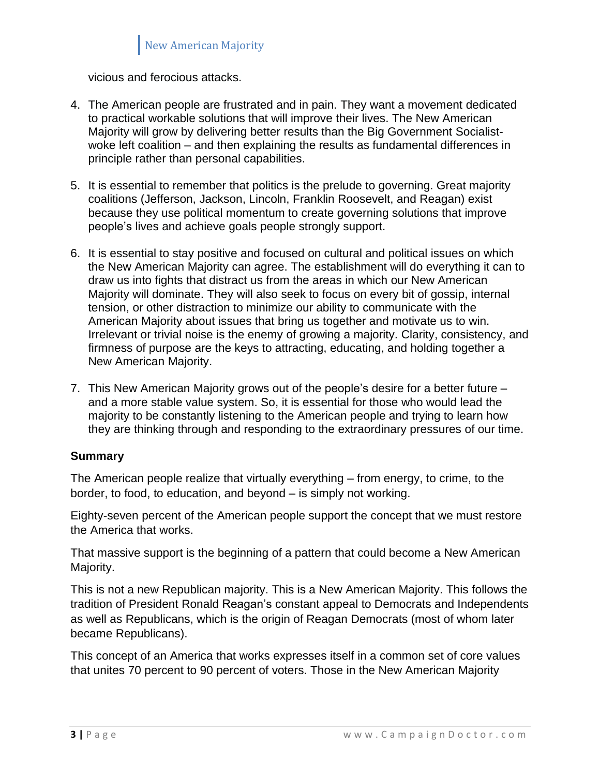vicious and ferocious attacks.

- 4. The American people are frustrated and in pain. They want a movement dedicated to practical workable solutions that will improve their lives. The New American Majority will grow by delivering better results than the Big Government Socialistwoke left coalition – and then explaining the results as fundamental differences in principle rather than personal capabilities.
- 5. It is essential to remember that politics is the prelude to governing. Great majority coalitions (Jefferson, Jackson, Lincoln, Franklin Roosevelt, and Reagan) exist because they use political momentum to create governing solutions that improve people's lives and achieve goals people strongly support.
- 6. It is essential to stay positive and focused on cultural and political issues on which the New American Majority can agree. The establishment will do everything it can to draw us into fights that distract us from the areas in which our New American Majority will dominate. They will also seek to focus on every bit of gossip, internal tension, or other distraction to minimize our ability to communicate with the American Majority about issues that bring us together and motivate us to win. Irrelevant or trivial noise is the enemy of growing a majority. Clarity, consistency, and firmness of purpose are the keys to attracting, educating, and holding together a New American Majority.
- 7. This New American Majority grows out of the people's desire for a better future and a more stable value system. So, it is essential for those who would lead the majority to be constantly listening to the American people and trying to learn how they are thinking through and responding to the extraordinary pressures of our time.

#### **Summary**

The American people realize that virtually everything – from energy, to crime, to the border, to food, to education, and beyond – is simply not working.

Eighty-seven percent of the American people support the concept that we must restore the America that works.

That massive support is the beginning of a pattern that could become a New American Majority.

This is not a new Republican majority. This is a New American Majority. This follows the tradition of President Ronald Reagan's constant appeal to Democrats and Independents as well as Republicans, which is the origin of Reagan Democrats (most of whom later became Republicans).

This concept of an America that works expresses itself in a common set of core values that unites 70 percent to 90 percent of voters. Those in the New American Majority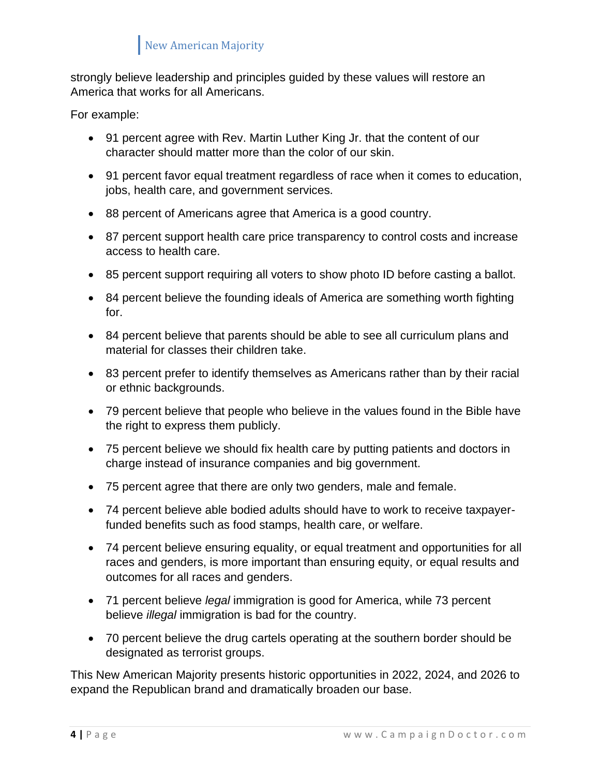strongly believe leadership and principles guided by these values will restore an America that works for all Americans.

For example:

- 91 percent agree with Rev. Martin Luther King Jr. that the content of our character should matter more than the color of our skin.
- 91 percent favor equal treatment regardless of race when it comes to education, jobs, health care, and government services.
- 88 percent of Americans agree that America is a good country.
- 87 percent support health care price transparency to control costs and increase access to health care.
- 85 percent support requiring all voters to show photo ID before casting a ballot.
- 84 percent believe the founding ideals of America are something worth fighting for.
- 84 percent believe that parents should be able to see all curriculum plans and material for classes their children take.
- 83 percent prefer to identify themselves as Americans rather than by their racial or ethnic backgrounds.
- 79 percent believe that people who believe in the values found in the Bible have the right to express them publicly.
- 75 percent believe we should fix health care by putting patients and doctors in charge instead of insurance companies and big government.
- 75 percent agree that there are only two genders, male and female.
- 74 percent believe able bodied adults should have to work to receive taxpayerfunded benefits such as food stamps, health care, or welfare.
- 74 percent believe ensuring equality, or equal treatment and opportunities for all races and genders, is more important than ensuring equity, or equal results and outcomes for all races and genders.
- 71 percent believe *legal* immigration is good for America, while 73 percent believe *illegal* immigration is bad for the country.
- 70 percent believe the drug cartels operating at the southern border should be designated as terrorist groups.

This New American Majority presents historic opportunities in 2022, 2024, and 2026 to expand the Republican brand and dramatically broaden our base.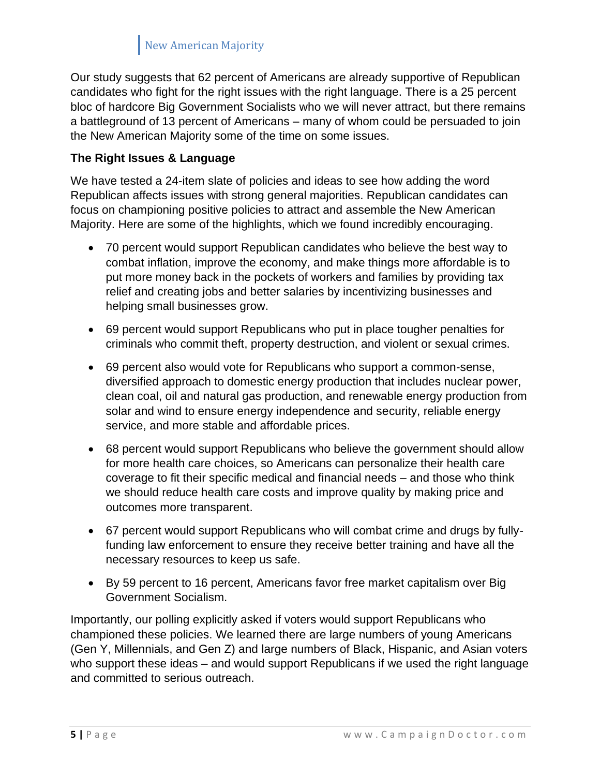Our study suggests that 62 percent of Americans are already supportive of Republican candidates who fight for the right issues with the right language. There is a 25 percent bloc of hardcore Big Government Socialists who we will never attract, but there remains a battleground of 13 percent of Americans – many of whom could be persuaded to join the New American Majority some of the time on some issues.

#### **The Right Issues & Language**

We have tested a 24-item slate of policies and ideas to see how adding the word Republican affects issues with strong general majorities. Republican candidates can focus on championing positive policies to attract and assemble the New American Majority. Here are some of the highlights, which we found incredibly encouraging.

- 70 percent would support Republican candidates who believe the best way to combat inflation, improve the economy, and make things more affordable is to put more money back in the pockets of workers and families by providing tax relief and creating jobs and better salaries by incentivizing businesses and helping small businesses grow.
- 69 percent would support Republicans who put in place tougher penalties for criminals who commit theft, property destruction, and violent or sexual crimes.
- 69 percent also would vote for Republicans who support a common-sense, diversified approach to domestic energy production that includes nuclear power, clean coal, oil and natural gas production, and renewable energy production from solar and wind to ensure energy independence and security, reliable energy service, and more stable and affordable prices.
- 68 percent would support Republicans who believe the government should allow for more health care choices, so Americans can personalize their health care coverage to fit their specific medical and financial needs – and those who think we should reduce health care costs and improve quality by making price and outcomes more transparent.
- 67 percent would support Republicans who will combat crime and drugs by fullyfunding law enforcement to ensure they receive better training and have all the necessary resources to keep us safe.
- By 59 percent to 16 percent, Americans favor free market capitalism over Big Government Socialism.

Importantly, our polling explicitly asked if voters would support Republicans who championed these policies. We learned there are large numbers of young Americans (Gen Y, Millennials, and Gen Z) and large numbers of Black, Hispanic, and Asian voters who support these ideas – and would support Republicans if we used the right language and committed to serious outreach.